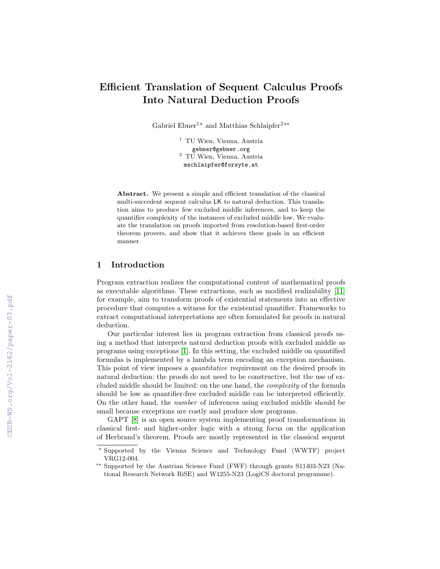# Efficient Translation of Sequent Calculus Proofs Into Natural Deduction Proofs

Gabriel Ebner<sup>1\*</sup> and Matthias Schlaipfer<sup>2\*\*</sup>

<sup>1</sup> TU Wien, Vienna, Austria gebner@gebner.org <sup>2</sup> TU Wien, Vienna, Austria mschlaipfer@forsyte.at

Abstract. We present a simple and efficient translation of the classical multi-succedent sequent calculus LK to natural deduction. This translation aims to produce few excluded middle inferences, and to keep the quantifier complexity of the instances of excluded middle low. We evaluate the translation on proofs imported from resolution-based first-order theorem provers, and show that it achieves these goals in an efficient manner.

## 1 Introduction

Program extraction realizes the computational content of mathematical proofs as executable algorithms. These extractions, such as modified realizability [\[11\]](#page--1-0) for example, aim to transform proofs of existential statements into an effective procedure that computes a witness for the existential quantifier. Frameworks to extract computational interpretations are often formulated for proofs in natural deduction.

Our particular interest lies in program extraction from classical proofs using a method that interprets natural deduction proofs with excluded middle as programs using exceptions [\[1\]](#page--1-1). In this setting, the excluded middle on quantified formulas is implemented by a lambda term encoding an exception mechanism. This point of view imposes a *quantitative* requirement on the desired proofs in natural deduction: the proofs do not need to be constructive, but the use of excluded middle should be limited: on the one hand, the complexity of the formula should be low as quantifier-free excluded middle can be interpreted efficiently. On the other hand, the number of inferences using excluded middle should be small because exceptions are costly and produce slow programs.

GAPT [\[8\]](#page--1-2) is an open source system implementing proof transformations in classical first- and higher-order logic with a strong focus on the application of Herbrand's theorem. Proofs are mostly represented in the classical sequent

<sup>?</sup> Supported by the Vienna Science and Technology Fund (WWTF) project VRG12-004.

<sup>\*\*</sup> Supported by the Austrian Science Fund (FWF) through grants S11403-N23 (National Research Network RiSE) and W1255-N23 (LogiCS doctoral programme).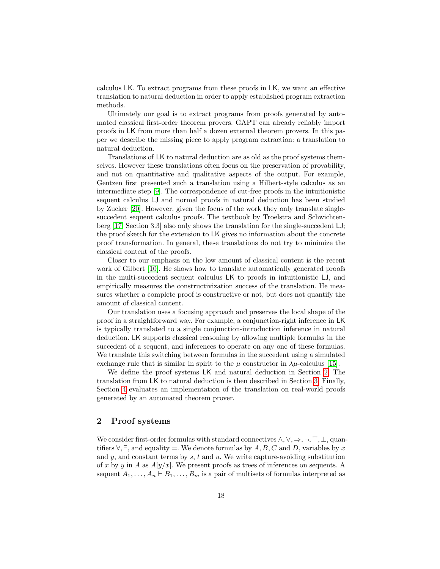calculus LK. To extract programs from these proofs in LK, we want an effective translation to natural deduction in order to apply established program extraction methods.

Ultimately our goal is to extract programs from proofs generated by automated classical first-order theorem provers. GAPT can already reliably import proofs in LK from more than half a dozen external theorem provers. In this paper we describe the missing piece to apply program extraction: a translation to natural deduction.

Translations of LK to natural deduction are as old as the proof systems themselves. However these translations often focus on the preservation of provability, and not on quantitative and qualitative aspects of the output. For example, Gentzen first presented such a translation using a Hilbert-style calculus as an intermediate step [\[9\]](#page-16-0). The correspondence of cut-free proofs in the intuitionistic sequent calculus LJ and normal proofs in natural deduction has been studied by Zucker [\[20\]](#page-16-1). However, given the focus of the work they only translate singlesuccedent sequent calculus proofs. The textbook by Troelstra and Schwichtenberg [\[17,](#page-16-2) Section 3.3] also only shows the translation for the single-succedent LJ; the proof sketch for the extension to LK gives no information about the concrete proof transformation. In general, these translations do not try to minimize the classical content of the proofs.

Closer to our emphasis on the low amount of classical content is the recent work of Gilbert [\[10\]](#page-16-3). He shows how to translate automatically generated proofs in the multi-succedent sequent calculus LK to proofs in intuitionistic LJ, and empirically measures the constructivization success of the translation. He measures whether a complete proof is constructive or not, but does not quantify the amount of classical content.

Our translation uses a focusing approach and preserves the local shape of the proof in a straightforward way. For example, a conjunction-right inference in LK is typically translated to a single conjunction-introduction inference in natural deduction. LK supports classical reasoning by allowing multiple formulas in the succedent of a sequent, and inferences to operate on any one of these formulas. We translate this switching between formulas in the succedent using a simulated exchange rule that is similar in spirit to the  $\mu$  constructor in  $\lambda \mu$ -calculus [\[15\]](#page-16-4).

We define the proof systems LK and natural deduction in Section [2.](#page-1-0) The translation from LK to natural deduction is then described in Section [3.](#page-5-0) Finally, Section [4](#page-11-0) evaluates an implementation of the translation on real-world proofs generated by an automated theorem prover.

## <span id="page-1-0"></span>2 Proof systems

We consider first-order formulas with standard connectives  $\wedge, \vee, \Rightarrow, \neg, \top, \bot$ , quantifiers  $\forall$ ,  $\exists$ , and equality =. We denote formulas by A, B, C and D, variables by x and  $y$ , and constant terms by  $s, t$  and  $u$ . We write capture-avoiding substitution of x by y in A as  $A[y/x]$ . We present proofs as trees of inferences on sequents. A sequent  $A_1, \ldots, A_n \vdash B_1, \ldots, B_m$  is a pair of multisets of formulas interpreted as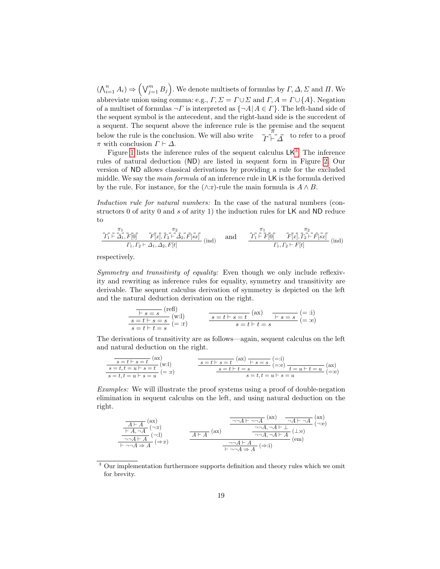$(\bigwedge_{i=1}^{n} A_i) \Rightarrow (\bigvee_{j=1}^{m} B_j)$ . We denote multisets of formulas by  $\Gamma, \Delta, \Sigma$  and  $\Pi$ . We abbreviate union using comma: e.g.,  $\Gamma$ ,  $\Sigma = \Gamma \cup \Sigma$  and  $\Gamma$ ,  $A = \Gamma \cup \{A\}$ . Negation of a multiset of formulas  $\neg \Gamma$  is interpreted as  $\{\neg A \mid A \in \Gamma\}$ . The left-hand side of the sequent symbol is the antecedent, and the right-hand side is the succedent of a sequent. The sequent above the inference rule is the premise and the sequent below the rule is the conclusion. We will also write  $\frac{\pi}{\Gamma \vdash \Delta}$  to refer to a proof  $\pi$  with conclusion  $\Gamma \vdash \Delta$ .

Figure [1](#page-3-0) lists the inference rules of the sequent calculus  $LK<sup>3</sup>$  $LK<sup>3</sup>$  $LK<sup>3</sup>$ . The inference rules of natural deduction (ND) are listed in sequent form in Figure [2.](#page-4-0) Our version of ND allows classical derivations by providing a rule for the excluded middle. We say the main formula of an inference rule in LK is the formula derived by the rule. For instance, for the  $(\wedge:\mathbf{r})$ -rule the main formula is  $A \wedge B$ .

Induction rule for natural numbers: In the case of the natural numbers (constructors 0 of arity 0 and s of arity 1) the induction rules for LK and ND reduce to

$$
\frac{\overline{r_1} \overline{\vdash} \overline{\Delta}_1, \overline{F[0]} \quad \overline{F[x]}, \overline{r_2} \overline{\vdash} \overline{\Delta}_2, \overline{F[sx]} \quad \text{(ind)} \qquad \text{and} \qquad \frac{\overline{r_1} \overline{\vdash} \overline{F[0]} \quad \overline{F[x]}, \overline{r_2} \overline{\vdash} \overline{F[sx]} \quad \text{(ind)} \quad \overline{r_1, r_2} \overline{\vdash} \overline{F[sx]} \quad \text{(ind)}
$$

respectively.

Symmetry and transitivity of equality: Even though we only include reflexivity and rewriting as inference rules for equality, symmetry and transitivity are derivable. The sequent calculus derivation of symmetry is depicted on the left and the natural deduction derivation on the right.

$$
\frac{\begin{array}{c}\n\overline{\phantom{0}}\mid s=s \text{ (refl)} \\
\hline\ns=t\vdash s=s \\
s=t\vdash t=s \text{ (} \end{array}\n\end{array}\n\qquad\n\frac{\overline{\phantom{0}}\cdot s=t\vdash s=t \text{ (ax)}}{s=t\vdash s=t \text{ (}\overline{\phantom{0}}\cdot t=s \text{ (}\overline{\phantom{0}}\cdot \text{)}(\overline{\phantom{0}}\cdot \text{)}(\overline{\phantom{0}}\cdot \text{)}(\overline{\phantom{0}}\cdot \text{)}(\overline{\phantom{0}}\cdot \text{)}(\overline{\phantom{0}}\cdot \text{)}(\overline{\phantom{0}}\cdot \text{)}(\overline{\phantom{0}}\cdot \text{)}(\overline{\phantom{0}}\cdot \text{)}
$$

The derivations of transitivity are as follows—again, sequent calculus on the left and natural deduction on the right.

$$
\frac{s=t\vdash s=t}{s=t,t=u\vdash s=t} \begin{pmatrix} ax \\ w\end{pmatrix}
$$
\n
$$
\frac{s=t\vdash s=t}{s=t\vdash t=s} \begin{pmatrix} \frac{-1}{2} \\ \frac{-1}{2} \\ \frac{-1}{2} \\ \frac{-1}{2} \\ \frac{-1}{2} \\ \frac{-1}{2} \\ \frac{-1}{2} \\ \frac{-1}{2} \\ \frac{-1}{2} \\ \frac{-1}{2} \\ \frac{-1}{2} \\ \frac{-1}{2} \\ \frac{-1}{2} \\ \frac{-1}{2} \\ \frac{-1}{2} \\ \frac{-1}{2} \\ \frac{-1}{2} \\ \frac{-1}{2} \\ \frac{-1}{2} \\ \frac{-1}{2} \\ \frac{-1}{2} \\ \frac{-1}{2} \\ \frac{-1}{2} \\ \frac{-1}{2} \\ \frac{-1}{2} \\ \frac{-1}{2} \\ \frac{-1}{2} \\ \frac{-1}{2} \\ \frac{-1}{2} \\ \frac{-1}{2} \\ \frac{-1}{2} \\ \frac{-1}{2} \\ \frac{-1}{2} \\ \frac{-1}{2} \\ \frac{-1}{2} \\ \frac{-1}{2} \\ \frac{-1}{2} \\ \frac{-1}{2} \\ \frac{-1}{2} \\ \frac{-1}{2} \\ \frac{-1}{2} \\ \frac{-1}{2} \\ \frac{-1}{2} \\ \frac{-1}{2} \\ \frac{-1}{2} \\ \frac{-1}{2} \\ \frac{-1}{2} \\ \frac{-1}{2} \\ \frac{-1}{2} \\ \frac{-1}{2} \\ \frac{-1}{2} \\ \frac{-1}{2} \\ \frac{-1}{2} \\ \frac{-1}{2} \\ \frac{-1}{2} \\ \frac{-1}{2} \\ \frac{-1}{2} \\ \frac{-1}{2} \\ \frac{-1}{2} \\ \frac{-1}{2} \\ \frac{-1}{2} \\ \frac{-1}{2} \\ \frac{-1}{2} \\ \frac{-1}{2} \\ \frac{-1}{2} \\ \frac{-1}{2} \\ \frac{-1}{2} \\ \frac{-1}{2} \\ \frac{-1}{2} \\ \frac{-1}{2} \\ \frac{-1}{2} \\ \frac{-1}{2} \\ \frac{-1}{2} \\ \frac{-1}{2} \\ \frac{-1}{2} \\ \frac{-1}{2} \\ \frac{-1}{2} \\ \frac{-1}{2} \\ \frac{-1}{2} \\ \frac{-1}{2} \\ \frac{-1}{2} \\ \frac{-1}{2} \\ \frac{-1}{2} \\ \frac{-1}{2} \\ \frac{-1}{2} \\ \frac{-1}{2} \\ \frac{-1}{
$$

Examples: We will illustrate the proof systems using a proof of double-negation elimination in sequent calculus on the left, and using natural deduction on the right.

$$
\begin{array}{c|c}\n\hline\n\frac{A \vdash A}{\vdash A, \neg A} \text{(ax)} & \overline{\neg A \vdash \neg A} \text{(ax)} & \overline{\neg A \vdash \neg A} \text{(ax)} \\
\hline\n\frac{A \vdash A}{\neg A, \neg A} \text{(a)} & \overline{\neg A, \neg A \vdash \bot} \text{(b)} \\
\hline\n\frac{A \vdash A}{\neg A, \neg A \vdash A} \text{(b)} & \overline{\neg A, \neg A \vdash A} \text{(b)} \\
\hline\n\frac{A \vdash A}{\vdash \neg A \Rightarrow A} \text{(b)} & \overline{\neg A, \neg A \vdash A} \text{(b)} \\
\hline\n\frac{A \vdash A}{\vdash \neg A \Rightarrow A} \text{(b)} & \overline{\neg A, \neg A \vdash A} \text{(c)} \\
\hline\n\end{array}
$$

<span id="page-2-0"></span><sup>&</sup>lt;sup>3</sup> Our implementation furthermore supports definition and theory rules which we omit for brevity.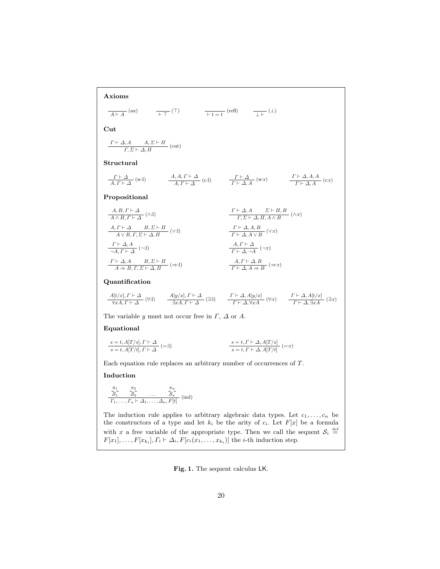Axioms

$$
\frac{}{\mathcal{A}\vdash A} \text{ (ax)} \qquad \frac{}{\vdash \top} \text{ (T)} \qquad \frac{}{\vdash t = t} \text{ (refl)} \qquad \frac{}{\bot \vdash} \text{ (}\bot\text{)}
$$

Cut

$$
\frac{\varGamma\vdash\varDelta, A\qquad A, \varSigma\vdash\Pi}{\varGamma,\varSigma\vdash\varDelta,\varPi}\;(\mathrm{cut})
$$

Structural

$$
\frac{\Gamma \vdash \Delta}{A, \Gamma \vdash \Delta} \text{ (w:l)} \qquad \qquad \frac{A, A, \Gamma \vdash \Delta}{A, \Gamma \vdash \Delta} \text{ (c:l)} \qquad \qquad \frac{\Gamma \vdash \Delta}{\Gamma \vdash \Delta, A} \text{ (w.r)} \qquad \qquad \frac{\Gamma \vdash \Delta, A, A}{\Gamma \vdash \Delta, A} \text{ (c.r)}
$$

Propositional

| $A, B, \Gamma \vdash \Delta$                                   | $\Gamma \vdash \Delta, A$ | $\Sigma \vdash \Pi, B$                                                                                    |                                                                     |             |
|----------------------------------------------------------------|---------------------------|-----------------------------------------------------------------------------------------------------------|---------------------------------------------------------------------|-------------|
| $A \land B, \Gamma \vdash \Delta$                              | $(\land:1)$               | $\frac{\Gamma \vdash \Delta, A \quad \Sigma \vdash \Pi, B}{\Gamma, \Sigma \vdash \Delta, \Pi, A \land B}$ | $(\land: r)$                                                        |             |
| $A, \Gamma \vdash \Delta$                                      | $B, \Sigma \vdash \Pi$    | $(\lor:1)$                                                                                                | $\frac{\Gamma \vdash \Delta, A, B}{\Gamma \vdash \Delta, A \lor B}$ | $(\lor: r)$ |
| $\frac{\Gamma \vdash \Delta, A}{\neg A, \Gamma \vdash \Delta}$ | $(\neg:1)$                | $\frac{A, \Gamma \vdash \Delta}{\Gamma \vdash \Delta, \neg A}$                                            | $(\neg: r)$                                                         |             |
| $\frac{\Gamma \vdash \Delta, A}{\neg A, \Gamma \vdash \Delta}$ | $(\neg:1)$                | $\frac{A, \Gamma \vdash \Delta}{\Gamma \vdash \Delta, \neg A}$                                            | $(\neg: r)$                                                         |             |
| $A \Rightarrow B, \Gamma, \Sigma \vdash \Delta, \Pi$           | $(\Rightarrow:1)$         | $\frac{A, \Gamma \vdash \Delta, B}{\Gamma \vdash \Delta, A \Rightarrow B}$                                | $(\Rightarrow: r)$                                                  |             |

## Quantification

$$
\begin{array}{ccc} \underline{A[t/x],\varGamma\vdash\varDelta} & (\forall\text{:}l) & \quad \ \, \frac{A[y/x],\varGamma\vdash\varDelta}{\exists xA,\varGamma\vdash\varDelta} \; (\exists\text{:}l) & \quad \ \, \frac{\varGamma\vdash\varDelta,A[y/x]}{\varGamma\vdash\varDelta,\forall xA} \; (\forall\text{:}r) & \quad \ \, \frac{\varGamma\vdash\varDelta,A[t/x]}{\varGamma\vdash\varDelta,\exists xA} \; (\exists\text{:}r) \end{array}
$$

The variable y must not occur free in  $\Gamma$ ,  $\Delta$  or A.

#### Equational

$$
\begin{aligned} \frac{s=t,A[T/s],\varGamma\vdash\varDelta}{s=t,A[T/t],\varGamma\vdash\varDelta}\text{ }(\text{=:l})\\ \end{aligned} \qquad \qquad \begin{aligned} \frac{s=t,\varGamma\vdash\varDelta,A[T/s]}{s=t,\varGamma\vdash\varDelta,A[T/t]} \text{ }(\text{=:r})\\ \end{aligned}
$$

Each equation rule replaces an arbitrary number of occurrences of T.

#### Induction

$$
\frac{\frac{\pi_1}{\mathcal{S}_1} - \frac{\pi_2}{\mathcal{S}_2} - \dots - \frac{\pi_n}{\mathcal{S}_n}}{\Gamma_1, \dots, \Gamma_n \vdash \Delta_1, \dots, \Delta_n, F[t]} \; (\text{ind})
$$

The induction rule applies to arbitrary algebraic data types. Let  $c_1, \ldots, c_n$  be the constructors of a type and let  $k_i$  be the arity of  $c_i$ . Let  $F[x]$  be a formula with x a free variable of the appropriate type. Then we call the sequent  $S_i \stackrel{\text{def}}{=}$  $F[x_1], \ldots, F[x_{k_i}], \Gamma_i \vdash \Delta_i, F[c_i(x_1, \ldots, x_{k_i})]$  the *i*-th induction step.

<span id="page-3-0"></span>Fig. 1. The sequent calculus LK.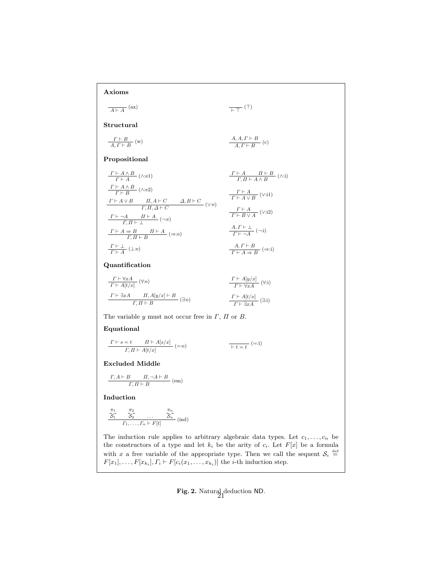# Axioms

 $\frac{}{A \vdash A}$  (ax)  $\frac{}{\vdash\top}$  (T)

Structural

$$
\frac{\Gamma \vdash B}{A, \Gamma \vdash B} \text{ (w)} \qquad \qquad \frac{A, A, \Gamma \vdash B}{A, \Gamma \vdash B} \text{ (c)}
$$

## Propositional

| $\Gamma \vdash A \land B$       | $(\lambda : e1)$                             | $\Gamma \vdash A$                            | $\Pi \vdash B$                                       | $(\lambda : i)$ |
|---------------------------------|----------------------------------------------|----------------------------------------------|------------------------------------------------------|-----------------|
| $\Gamma \vdash A \land B$       | $(\lambda : e2)$                             |                                              |                                                      |                 |
| $\Gamma \vdash B$               | $(\lambda : e2)$                             | $\Gamma \vdash A \land B$                    | $(\lambda : i)$                                      |                 |
| $\Gamma \vdash A \lor B$        | $\Pi, A \vdash C$                            | $\Delta, B \vdash C$                         | $\Gamma \vdash A \lor B$                             | $(\vee : i)$    |
| $\Gamma, \Pi, \Delta \vdash C$  | $\Gamma \vdash A \lor B$                     | $(\vee : i)$                                 |                                                      |                 |
| $\Gamma \vdash \neg A$          | $\Pi \vdash A$                               | $(\neg : e)$                                 | $\Gamma \vdash A$                                    | $(\vee : i2)$   |
| $\Gamma \vdash A \Rightarrow B$ | $\Pi \vdash A$                               | $(\Rightarrow : e)$                          | $\frac{A, \Gamma \vdash \bot}{\Gamma \vdash \neg A}$ | $(\neg : i)$    |
| $\Gamma \vdash \bot$            | $\frac{A, \Gamma \vdash B}{\Gamma \vdash A}$ | $\frac{A, \Gamma \vdash B}{\Gamma \vdash A}$ | $(\Rightarrow : i)$                                  |                 |

## Quantification

$$
\begin{array}{c}\n\frac{\Gamma \vdash \forall x A}{\Gamma \vdash A[t/x]} \quad (\forall \text{:}e) \\
\frac{\Gamma \vdash A[t/x]}{\Gamma \vdash \forall x A} \quad (\forall \text{:}i) \\
\frac{\Gamma \vdash \exists x A}{\Gamma, \Pi \vdash B} \\
\frac{\Gamma \vdash A[t/x]}{\Gamma \vdash \exists x A} \quad (\exists \text{:}e)\n\end{array}
$$

The variable  $y$  must not occur free in  $\Gamma$ ,  $\Pi$  or  $B$ .

#### Equational

$$
\frac{\Gamma \vdash s = t \qquad \Pi \vdash A[s/x]}{\Gamma, \Pi \vdash A[t/x]} \text{ (=:e)} \qquad \qquad \overline{\phantom{0}} \vdash t = t \qquad \text{ (=:i)}
$$

#### Excluded Middle

$$
\frac{\varGamma, A \vdash B \qquad \varPi, \neg A \vdash B}{\varGamma, \varPi \vdash B} \; (\text{em})
$$

Induction

$$
\frac{\overline{c}_1}{\overline{S}_1} \quad \frac{\overline{c}_2}{\overline{S}_2} \quad \dots \quad \frac{\overline{c}_n}{\overline{S}_n} \quad (\text{ind})
$$
  

$$
\Gamma_1, \dots, \Gamma_n \vdash F[t]
$$

The induction rule applies to arbitrary algebraic data types. Let  $c_1, \ldots, c_n$  be the constructors of a type and let  $k_i$  be the arity of  $c_i$ . Let  $F[x]$  be a formula with x a free variable of the appropriate type. Then we call the sequent  $S_i \stackrel{\text{def}}{=}$  $F[x_1], \ldots, F[x_{k_i}], \Gamma_i \vdash F[c_i(x_1, \ldots, x_{k_i})]$  the *i*-th induction step.

# <span id="page-4-0"></span>**Fig. 2.** Natural deduction ND.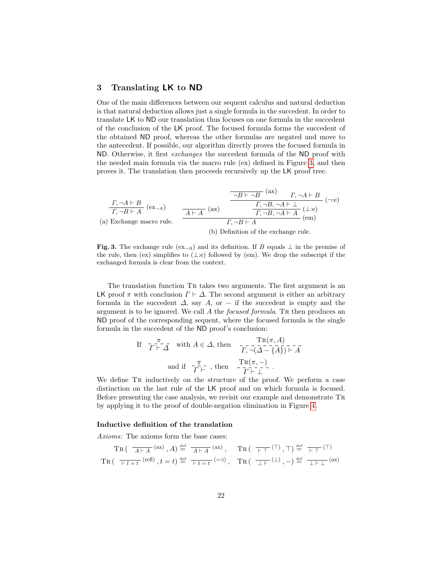## <span id="page-5-0"></span>3 Translating LK to ND

One of the main differences between our sequent calculus and natural deduction is that natural deduction allows just a single formula in the succedent. In order to translate LK to ND our translation thus focuses on one formula in the succedent of the conclusion of the LK proof. The focused formula forms the succedent of the obtained ND proof, whereas the other formulas are negated and move to the antecedent. If possible, our algorithm directly proves the focused formula in ND. Otherwise, it first exchanges the succedent formula of the ND proof with the needed main formula via the macro rule (ex) defined in Figure [3,](#page-5-1) and then proves it. The translation then proceeds recursively up the LK proof tree.

$$
\frac{\Gamma, \neg A \vdash B}{\Gamma, \neg B \vdash A} \text{ (ex--a)} \qquad \qquad \frac{\neg B \vdash \neg B \quad (\text{ax})}{\Gamma, \neg B, \neg A \vdash \bot} \quad (\neg \text{e})
$$
\n(a) Exchange macro rule. 
$$
\frac{A \vdash A}{\Gamma, \neg B \vdash A} \text{ (ax)} \qquad \qquad \frac{\Gamma, \neg B, \neg A \vdash \bot}{\Gamma, \neg B, \neg A \vdash A} \text{ (the)}
$$
\n(b) Definition of the exchange rule.

<span id="page-5-1"></span>Fig. 3. The exchange rule  $(ex_{\neg A})$  and its definition. If B equals  $\perp$  in the premise of the rule, then (ex) simplifies to  $(\perp$ :e) followed by (em). We drop the subscript if the exchanged formula is clear from the context.

The translation function Tr takes two arguments. The first argument is an LK proof  $\pi$  with conclusion  $\Gamma \vdash \Delta$ . The second argument is either an arbitrary formula in the succedent  $\Delta$ , say  $A$ , or  $-$  if the succedent is empty and the argument is to be ignored. We call  $A$  the *focused formula*. Tr then produces an ND proof of the corresponding sequent, where the focused formula is the single formula in the succedent of the ND proof's conclusion:

If 
$$
\overline{T} \vdash \overline{\Delta}
$$
 with  $A \in \Delta$ , then  $\overline{T}, \neg(\overline{\Delta} - \overline{\{A\}}) \vdash \overline{A}$   
and if  $\overline{T} \vdash \neg$ , then  $\overline{T} \vdash (\pi, -)$   
 $\overline{T} \vdash \bot$ 

We define TR inductively on the structure of the proof. We perform a case distinction on the last rule of the LK proof and on which formula is focused. Before presenting the case analysis, we revisit our example and demonstrate Tr by applying it to the proof of double-negation elimination in Figure [4.](#page-6-0)

#### Inductive definition of the translation

Axioms: The axioms form the base cases:

$$
\operatorname{Tr}\left(\begin{array}{c}\overline{A \vdash A}\end{array}\right) \stackrel{\text{def}}{=} \overline{A \vdash A}\end{array} \quad \begin{array}{c}\text{Tr}\left(\begin{array}{c}\overline{+T}\end{array}\right) \cdot \overline{T}\right) \stackrel{\text{def}}{=} \overline{+T}\end{array} \quad \begin{array}{c}\text{Tr}\left(\begin{array}{c}\overline{+T}\end{array}\right) \cdot \overline{T}\right) \stackrel{\text{def}}{=} \overline{+T}\end{array} \quad \begin{array}{c}\text{(7)}\\ \text{Tr}\left(\begin{array}{c}\overline{+t=t}\end{array}\right) \cdot \text{Tr}\left(\begin{array}{c}\overline{+T}\end{array}\right) \cdot \overline{T}\right) \stackrel{\text{def}}{=} \overline{+L}\end{array} \quad \begin{array}{c}\text{(ax)}\\ \text{(ax)}\end{array}
$$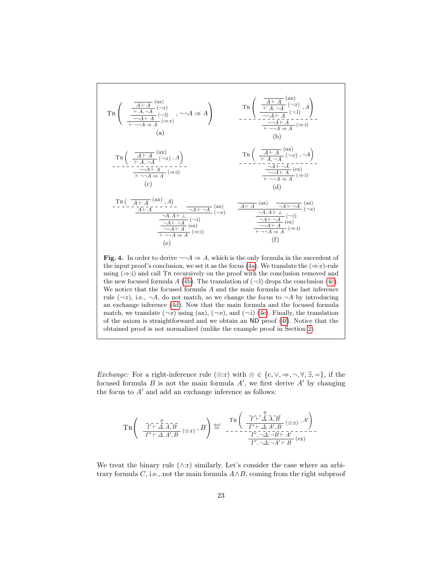<span id="page-6-4"></span><span id="page-6-3"></span><span id="page-6-2"></span><span id="page-6-1"></span>
$$
Tr\left(\begin{array}{c}\frac{A+A}{\frac{A+A}{\frac{A+A}{\frac{A+A}{\frac{A+A}{\frac{A+A}{\frac{A+A}{\frac{A+A}{\frac{A+A{A}}{A}}}}}}(\neg 1)}},\neg\neg A\Rightarrow A\right) & Tr\left(\begin{array}{c}\frac{A+A}{\frac{A+A}{\frac{A+A}{\frac{A+A}{\frac{A+A}{\frac{A+A}{\frac{A+A}{\frac{A+A}{\frac{A+A}{\frac{A+A}{\frac{A+A}{\frac{A+A}{\frac{A+A}{\frac{A+A}{\frac{A+A}{\frac{A+A}{\frac{A+A}{\frac{A+A}{\frac{A+A}{\frac{A+A}{\frac{A+A}{\frac{A+A}{\frac{A+A}{\frac{A+A}{\frac{A+A{A}}}}}}}}}}}}(\text{a})\\(a)\\Tr\left(\begin{array}{c}\frac{A+A}{\frac{A+A}{\frac{A+A}{\frac{A+A}{\frac{A+A{A}}}}}}(\neg r),A\right)\\Tr\left(\frac{A+A}{\frac{A+A}{\frac{A+A}{\frac{A+A}{\frac{A+A{A}}}}}}(\neg r),A\right)\\Tr\left(\frac{A+A}{\frac{A+A}{\frac{A+A}{\frac{A+A}{\frac{A+A}{\frac{A+A}{\frac{A+A}{\frac{A+A}{\frac{A+A}{\frac{A+A}{\frac{A+A}{\frac{A+A}{\frac{A+A}{\frac{A+A}{\frac{A+A}{\frac{A+A}{\frac{A+A}{\frac{A+A}{\frac{A+A}{\frac{A+A}{\frac{A+A}{\frac{A+A}{\frac{A+A}{\frac{A+A}{\frac{A+A}{\frac{A+A}{\frac{A+A}{\frac{A+A}{\frac{A+A}{\frac{A+A}{\frac{A+A}{\frac{A+A}{\frac{A+A}{\frac{A+A}{\frac{A+A}{\frac{A+A}{\frac{A+A}{\frac{A+A}{\frac{A+A}{\frac{A+A}{\frac{A+A}{\frac{A+A}{\frac{A+A}{\frac{A+A}{\frac{A+A}{\frac{A+A}{\frac{A+A}{\frac{A+A}{\frac{A+A}{\frac{A+A}{\frac{A+A}{\frac{A+A}{\frac{A+A}{\frac{A+A}{\frac{A+A}{\frac{A+A}{\frac{A>A}{\frac{A+A}{\frac{A>A}{\frac{A+A}{\frac{A>A}{\frac{A>A}{\frac{A+A{A}}}}}}}}}}}}}}}}}}}}}}(-1)\right
$$

<span id="page-6-6"></span><span id="page-6-5"></span><span id="page-6-0"></span>**Fig. 4.** In order to derive  $\neg\neg A \Rightarrow A$ , which is the only formula in the succedent of the input proof's conclusion, we set it as the focus [\(4a\)](#page-6-1). We translate the  $(\Rightarrow$ :r)-rule using  $(\Rightarrow$ :i) and call TR recursively on the proof with the conclusion removed and the new focused formula  $A(4b)$  $A(4b)$ . The translation of  $(\neg \cdot \cdot \cdot)$  drops the conclusion  $(4c)$ . We notice that the focused formula A and the main formula of the last inference rule ( $\neg$ :r), i.e.,  $\neg A$ , do not match, so we change the focus to  $\neg A$  by introducing an exchange inference [\(4d\)](#page-6-4). Now that the main formula and the focused formula match, we translate  $(\neg x)$  using  $(ax)$ ,  $(\neg x)$ , and  $(\neg x)$  [\(4e\)](#page-6-5). Finally, the translation of the axiom is straightforward and we obtain an ND proof [\(4f\)](#page-6-6). Notice that the obtained proof is not normalized (unlike the example proof in Section [2\)](#page-1-0).

Exchange: For a right-inference rule (⊗:r) with  $\otimes \in \{\text{c}, \vee, \Rightarrow, \neg, \forall, \exists, =\},\}$  if the focused formula  $B$  is not the main formula  $A'$ , we first derive  $A'$  by changing the focus to  $A'$  and add an exchange inference as follows:

$$
\label{eq:TR} \operatorname{TR} \left( \begin{array}{cc} \overline{I^r \vdash \Delta}, \overline{A}, \overline{B} \\ \overline{I^r \vdash \Delta}, A', B} \left( \otimes \mathbf{r} \right) , B \end{array} \right) \stackrel{\mathrm{def}}{=} \begin{array}{c} \operatorname{TR} \left( \begin{array}{c} \overline{I^r \vdash \Delta}, \overline{A}, \overline{B} \\ \overline{I^r \vdash \Delta}, A', B} \left( \otimes \mathbf{r} \right) , A' \end{array} \right) \\ \overline{I^r \prime, \neg \Delta, \neg A' \vdash B} \left( \otimes \mathbf{r} \right) \end{array}.
$$

We treat the binary rule  $(\wedge:\mathbf{r})$  similarly. Let's consider the case where an arbitrary formula  $C$ , i.e., not the main formula  $A \wedge B$ , coming from the right subproof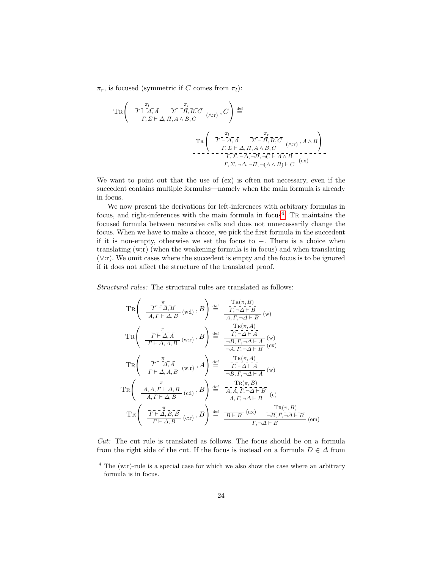$\pi_r$ , is focused (symmetric if C comes from  $\pi_l$ ):

$$
\operatorname{TR}\left(\begin{array}{c}\n\overline{T} \overline{F} \overline{A}, \overline{A} & \overline{\Sigma} \overline{F} \overline{H}, \overline{B}, \overline{C} \\
\overline{T}, \overline{\Sigma} \vdash \overline{A}, \overline{A} \land B, \overline{C}\n\end{array}\right) \stackrel{\text{def}}{=} \\
\operatorname{TR}\left(\begin{array}{c}\n\overline{T} \overline{F} \overline{A}, \overline{A} & \overline{\Sigma} \overline{F} \overline{H}, \overline{B}, \overline{C} \\
\overline{T}, \overline{\Sigma} \vdash \overline{A}, \overline{A} & \overline{\Sigma} \overline{F} \overline{H}, \overline{B}, \overline{C} \\
\overline{T}, \overline{\Sigma} \vdash \overline{A}, \overline{H}, A \land B, \overline{C}\n\end{array}\right) \\
\begin{array}{c}\n\text{Tr}\left(\begin{array}{cc}\n\overline{T} \overline{F} \overline{A}, \overline{A} & \overline{\Sigma} \overline{F} \overline{H}, \overline{B}, \overline{C} \\
\overline{T}, \Sigma \vdash \Delta, \overline{H}, A \land B, \overline{C}\n\end{array}\right) \\
\overline{T}, \overline{\Sigma}, \overline{A}, \overline{A}, \overline{H}, \overline{C} \vdash \overline{A} \land \overline{B}\n\end{array}\right) \\
\begin{array}{c}\n\overline{T}, \overline{\Sigma}, \overline{A}, \overline{A}, \overline{H}, \overline{C} \end{array}\right) \\
\text{(ax)}\n\end{array}
$$

We want to point out that the use of (ex) is often not necessary, even if the succedent contains multiple formulas—namely when the main formula is already in focus.

We now present the derivations for left-inferences with arbitrary formulas in focus, and right-inferences with the main formula in focus<sup>[4](#page-7-0)</sup>. TR maintains the focused formula between recursive calls and does not unnecessarily change the focus. When we have to make a choice, we pick the first formula in the succedent if it is non-empty, otherwise we set the focus to −. There is a choice when translating (w:r) (when the weakening formula is in focus) and when translating (∨:r). We omit cases where the succedent is empty and the focus is to be ignored if it does not affect the structure of the translated proof.

Structural rules: The structural rules are translated as follows:

$$
TR\left(\begin{array}{c}\n\overline{T} \vdash \overline{A}, \overline{B} \\
\overline{A}, \overline{I} \vdash \Delta, \overline{B} \\
\overline{A}, \overline{I} \vdash \Delta, \overline{B}\n\end{array} (w: l), B\right) \stackrel{\text{def}}{=} \frac{\overline{T} \cdot \overline{A} \cdot \overline{A} \cdot \overline{B}}{\overline{A}, \overline{I}, \neg \Delta \vdash B} (w) \nTR\left(\begin{array}{c}\n\overline{T} \vdash \overline{A}, \overline{A} \\
\overline{I} \vdash \Delta, \overline{A} \\
\overline{I} \vdash \Delta, A, B\n\end{array} (w: r), B\right) \stackrel{\text{def}}{=} \frac{\overline{T} \cdot \overline{A} \cdot \overline{A}}{\frac{\neg B, \overline{I}, \neg \Delta \vdash \overline{A}}{\neg A \vdash \overline{A}} (w) \nTR\left(\begin{array}{c}\n\overline{T} \vdash \overline{A}, \overline{A} \\
\overline{I} \vdash \Delta, A, B \\
\overline{I} \vdash \Delta, A, B\n\end{array} (w: r), A\right) \stackrel{\text{def}}{=} \frac{\overline{T} \cdot \overline{A} \cdot \overline{A} \cdot \overline{A}}{\frac{\neg B, \overline{I}, \neg \Delta \vdash \overline{A}}{\neg B, \overline{I}, \neg \Delta \vdash \overline{A}} (w) \nTR\left(\begin{array}{c}\n\overline{T} \vdash \overline{A}, \overline{A} \\
\overline{I} \vdash \Delta, \overline{A}, \overline{B}\n\end{array} (c: l), B\right) \stackrel{\text{def}}{=} \frac{\overline{T} \cdot \overline{A} \cdot \overline{A}}{\overline{A}, \overline{A}, \overline{I}, \neg \Delta \vdash B} (c) \nTR\left(\begin{array}{c}\n\overline{T} \vdash \overline{A}, \overline{B}, \overline{B} \\
\overline{I} \vdash \Delta, \overline{B} \\
\overline{I} \vdash \Delta, B\n\end{array} (c: l), B\right) \stackrel{\text{def}}{=} \frac{\overline{A}, \overline{A}, \overline{I}, \neg \Delta \vdash B}{
$$

Cut: The cut rule is translated as follows. The focus should be on a formula from the right side of the cut. If the focus is instead on a formula  $D \in \Delta$  from

<span id="page-7-0"></span><sup>4</sup> The (w:r)-rule is a special case for which we also show the case where an arbitrary formula is in focus.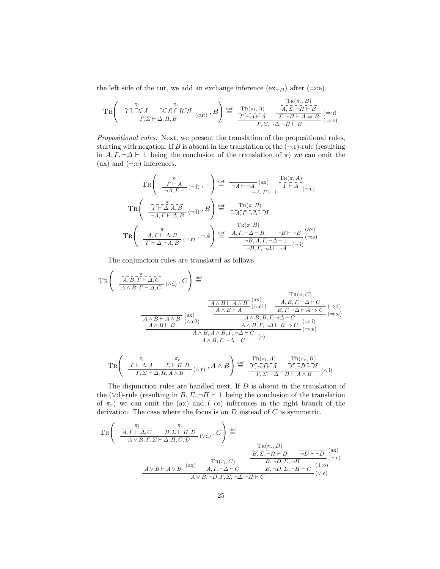the left side of the cut, we add an exchange inference  $(ex_{\neg D})$  after  $(\Rightarrow :e)$ .

$$
\operatorname{TR}\left(\begin{array}{cc} \frac{\tau}{I\Gamma+\Delta,\bar{A}} & \frac{\pi}{A,\bar{\Sigma}+\bar{H},\bar{B}} \\ \frac{\tau}{I,\Sigma+A,\bar{H},B} & (\mathrm{cut}) \end{array},B\right) \stackrel{\mathrm{def}}{=} \begin{array}{cc} \mathrm{TR}(\pi_l,A) & \frac{\tau}{A,\bar{\Sigma},\neg\bar{H}+\bar{B}} \\ \frac{\tau}{I,\neg\Delta+\bar{A}} & \frac{\tau}{\Sigma,\neg\bar{H}+A\Rightarrow B} \\ \frac{\tau}{I,\Sigma,\neg\Delta,\neg\bar{H}+B} & (\Rightarrow:\mathrm{i}) \end{array}
$$

Propositional rules: Next, we present the translation of the propositional rules, starting with negation. If B is absent in the translation of the  $(\neg r)$ -rule (resulting in  $A, \Gamma, \neg \Delta \vdash \bot$  being the conclusion of the translation of  $\pi$ ) we can omit the  $(ax)$  and  $(\neg :e)$  inferences.

$$
TR\left(\begin{array}{c}\n\overline{T}^{\pi}_{\text{H}}\overline{A}, \overline{F}^{\text{H}}\left(\neg A\right), -\n\end{array}\right) \stackrel{\text{def}}{=} \frac{\overline{A}^{\pi}_{\text{H}}\left(\text{ax}\right) - \overline{T}^{\text{R}}(\pi, A)}{\neg A, F^{\text{H}}\left(\neg A\right)}\n\begin{array}{c}\n\text{Tr}(\pi, A)\n\end{array}\n\end{array} (A; e)
$$
\n
$$
TR\left(\begin{array}{c}\n\overline{T}^{\text{H}}\overline{A}, \overline{A}, \overline{B}^{\text{H}}\left(\neg A\right), B\n\end{array}\right) \stackrel{\text{def}}{=} \begin{array}{c}\n-\overline{R}(\pi, B) \\
-\overline{A}, \overline{I}, \overline{A}, \overline{A}, \overline{B}^{\text{H}}\n\end{array} (A; e)
$$
\n
$$
TR\left(\begin{array}{c}\n\overline{T}^{\pi}_{\text{H}}\overline{A}, \overline{B}^{\text{H}}\overline{A}, \overline{B}^{\text{H}}\left(\neg A\right), -\overline{A}\n\end{array}\right) \stackrel{\text{def}}{=} \begin{array}{c}\n\overline{R}(\pi, B) \\
-\overline{A}, \overline{I}, \overline{A}, \overline{A}, \overline{B}^{\text{H}}\n\end{array} (A; e)
$$
\n
$$
TR\left(\begin{array}{c}\n\overline{A}, \overline{I}, \overline{I}, \overline{A}, \overline{B}^{\text{H}}\left(\neg A\right), -\overline{A}\n\end{array}\right) \stackrel{\text{def}}{=} \begin{array}{c}\n\overline{R}(\pi, B) \\
\overline{A}, \overline{I}, \overline{A}, \overline{A}, \overline{B}^{\text{H}}\n\end{array} \begin{array}{c}\n\overline{R}(\pi, B) \\
\overline{A}, \overline{I}, \overline{A}, \overline{A}, \overline{B}^{\text{H}}\n\end{array} (A; e)
$$

The conjunction rules are translated as follows:

$$
\operatorname{TR}\left(\begin{array}{c}\n\overline{A, B, \Gamma \vdash A, C} \\
\overline{A \wedge B, \Gamma \vdash A, C} \\
\overline{A \wedge B, \Gamma \vdash A, C} \\
\overline{A \wedge B \vdash A \wedge B} \\
\overline{A \wedge B \vdash A \wedge B} \\
\overline{A \wedge B \vdash A \wedge B} \\
\overline{A \wedge B \vdash A} \\
\overline{A \wedge B \vdash A \wedge B} \\
\overline{A \wedge B \vdash A} \\
\overline{A \wedge B \vdash A} \\
\overline{A \wedge B \vdash A} \\
\overline{A \wedge B \vdash A} \\
\overline{A \wedge B \vdash A} \\
\overline{A \wedge B \vdash A} \\
\overline{A \wedge B \vdash A} \\
\overline{A \wedge B \vdash A} \\
\overline{A \wedge B \wedge B} \\
\overline{A \wedge B, \Gamma, \neg \Delta \vdash C} \\
\overline{A \wedge B, \Gamma, \neg \Delta \vdash B} \\
\overline{A \wedge B, \Gamma, \neg \Delta \vdash B} \\
\overline{A \wedge B, \Gamma, \neg \Delta \vdash B} \\
\overline{A \wedge B, \Gamma, \neg \Delta \vdash C} \\
\overline{A \wedge B, \Gamma, \neg \Delta \vdash C} \\
\overline{A \wedge B, \Gamma, \neg \Delta \vdash C} \\
\overline{A \wedge B, \Gamma, \neg \Delta \vdash C} \\
\overline{A \wedge B, \Gamma, \neg \Delta \vdash C} \\
\overline{A \wedge B, \Gamma, \neg \Delta \vdash C} \\
\overline{A \wedge B, \Gamma, \neg \Delta \vdash C} \\
\overline{A \wedge B, \Gamma, \neg \Delta \vdash C} \\
\overline{A \wedge B, \Gamma, \neg \Delta \vdash C} \\
\overline{A \wedge B, \Gamma, \neg \Delta \vdash C} \\
\overline{A \wedge B, \Gamma, \neg \Delta \vdash C} \\
\overline{A \wedge B, \Gamma, \neg \Delta \vdash C} \\
\overline{A \wedge B, \Gamma, \Gamma} \\
\overline{A \wedge B} \\
\overline{A \wedge B, \Gamma, \Gamma} \\
\overline{A \wedge B} \\
\overline{A \wedge B} \\
\overline{A \wedge B} \\
\overline{A \wedge B} \\
\overline{
$$

$$
\operatorname{TR}\left(\begin{array}{cc} \frac{\pi_I}{\Gamma\vdash\Delta,\bar{A}} & \frac{\pi_r}{\Sigma\vdash\bar{H},\bar{B}} \\ \frac{\pi_I}{\Gamma,\Sigma\vdash\Delta,\bar{H},A\wedge B} & (\wedge:\mathbf{r}) \end{array},A\wedge B\right) \stackrel{\text{def}}{=} \begin{array}{cc} \frac{\operatorname{TR}(\pi_I,A)}{\Gamma,\neg\Delta\vdash\bar{A}} & \frac{\operatorname{TR}(\pi_r,B)}{\Sigma,\neg\bar{H}\vdash\bar{B}} \\ \frac{\pi_I}{\Gamma,\Sigma,\neg\Delta,\neg H\vdash A\wedge B} & (\wedge:\mathbf{i}) \end{array}
$$

The disjunction rules are handled next. If D is absent in the translation of the (∨:l)-rule (resulting in  $B, \Sigma, \neg \Pi \vdash \bot$  being the conclusion of the translation of  $\pi_r$ ) we can omit the (ax) and ( $\neg$ :e) inferences in the right branch of the derivation. The case where the focus is on  $D$  instead of  $C$  is symmetric.

$$
\operatorname{TR}\left(\begin{array}{cc} \frac{\overline{A}_{i}\overline{r}^{\overline{u}_{i}}\overline{\Delta}_{i}\overline{C} & \overline{B}_{i}\overline{\Sigma}\overline{\vdash}\overline{H}_{i}\overline{D}}{\overline{A}\vee B,\Gamma,\Sigma\vdash\Delta,\overline{H},C,\overline{D}} & (\vee\textbf{.}1) \end{array},C\right) \stackrel{\text{def}}{=} \frac{\operatorname{TR}(\pi_{r},D)}{\overline{B},\overline{\Sigma},\overline{\neg}\overline{H}\vdash\overline{D}} \xrightarrow{\neg D\vdash\neg D} \xrightarrow{\neg D\vdash\neg D} (\text{ax})}{\overline{A\vee B\vdash A\vee B} \xrightarrow{\text{TR}(\pi_{l},C)} \frac{\overline{B},\overline{\Sigma},\overline{\neg H}\vdash\overline{D}}{\overline{A}\vee\overline{B},\neg D,\Sigma,\neg H\vdash\bot} \xrightarrow{(\textbf{.}1)\text{e}} (\textbf{.}1)\text{e}(\textbf{.}2)\text{e}(\textbf{.}3)\text{e}(\textbf{.}4)\text{e}(\textbf{.}4)\text{e}(\textbf{.}4)\text{e}(\textbf{.}4)\text{e}(\textbf{.}4)\text{e}(\textbf{.}4)\text{e}(\textbf{.}4)\text{e}(\textbf{.}4)\text{e}(\textbf{.}4)\text{e}(\textbf{.}4)\text{e}(\textbf{.}4)\text{e}(\textbf{.}4)\text{e}(\textbf{.}4)\text{e}(\textbf{.}4)\text{e}(\textbf{.}4)\text{e}(\textbf{.}4)\text{e}(\textbf{.}4)\text{e}(\textbf{.}4)\text{e}(\textbf{.}4)\text{e}(\textbf{.}4)\text{e}(\textbf{.}4)\text{e}(\textbf{.}4)\text{e}(\textbf{.}4)\text{e}(\textbf{.}4)\text{e}(\textbf{.}4)\text{e}(\textbf{.}4)\text{e}(\textbf{.}4)\text{e}(\textbf{.}4)\text{e}(\textbf{.}4)\text{e}(\textbf{.}4)\text{e}(\textbf{.}4)\text{e}(\textbf{.}4)\text{e}(\textbf{.}4)\text{e
$$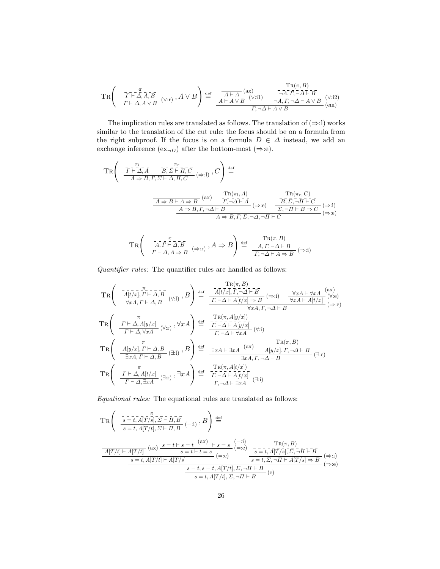$$
\operatorname{TR}\left(\begin{array}{cc} \overline{T\vdash} \overline{\mathcal{A}}, \overline{A}, \overline{B} \\ \overline{T\vdash} \mathcal{A}, A \vee B \end{array}(\vee : r), A \vee B\right) \stackrel{\text{def}}{=} \frac{\overline{A\vdash A}}{A\vdash A \vee B} \xrightarrow{\text{(v:ii)}} \frac{\overline{\text{Tr}(\pi, B)}}{\neg A, \overline{I}, \neg \Delta \vdash B} \xrightarrow{\text{(v:ii)}} (\vee : 2) \\ \overline{\text{(v:iii)}} \quad \overline{\text{Tr}(\pi, A \vee B)} \xrightarrow{\text{(v:iii)}} \overline{\text{Tr}(\pi, A \vee B)} \xrightarrow{\text{(v:iv)}} (\vee : 2) \\ \overline{\text{(cm)}} \quad \text{(cm)}
$$

The implication rules are translated as follows. The translation of  $(\Rightarrow !)$  works similar to the translation of the cut rule: the focus should be on a formula from the right subproof. If the focus is on a formula  $D \in \Delta$  instead, we add an exchange inference  $(ex_{\neg D})$  after the bottom-most  $(\Rightarrow :e)$ .

$$
\operatorname{TR}\left(\begin{array}{c}\n\overline{T}^{\frac{\pi_{l}}{L}}\overline{\Delta},\overline{A} & \overline{B},\overline{\Sigma}\vdash \overline{H},\overline{C} \\
\overline{A}\Rightarrow B,\Gamma,\Sigma\vdash\Delta,\overline{H},C\n\end{array}(\Rightarrow:1),\ C\right)\stackrel{\text{def}}{=}\n\begin{array}{c}\n\overline{\text{TR}}(\pi_{l},A) & \text{TR}(\pi_{r},C) \\
\overline{\text{TR}}(\pi_{l},A) & \overline{\text{TR}}(\pi_{r},C) \\
\overline{A}\Rightarrow B\vdash A\Rightarrow B & \overline{\text{FT}},\neg\overline{\Delta}\vdash \overline{A} \\
\overline{A}\Rightarrow B,\Gamma,\neg\Delta\vdash B & (\Rightarrow:e) & \overline{\text{DT}},\neg\overline{H}\vdash \overline{C} \\
\overline{A}\Rightarrow B,\Gamma,\Sigma,\neg\Delta,\neg\overline{H}\vdash C & (\Rightarrow:e)\n\end{array}
$$

$$
\operatorname{TR}\left(\begin{array}{c}\n\overline{A}, \overline{F} \stackrel{\pi}{\vdash} \overline{\Delta}, \overline{B} \\
\overline{F} \stackrel{\pi}{\vdash} \Delta, A \Rightarrow B\n\end{array} \right) \stackrel{\text{def}}{=} \frac{\operatorname{TR}(\pi, B)}{\overline{A}, \overline{F}, \neg \Delta \vdash B} \ (\Rightarrow \text{i})
$$

Quantifier rules: The quantifier rules are handled as follows:

$$
TR\left(\begin{array}{c}\n\overline{A[t/x],\Gamma\vdash\Delta,B}\n\end{array}(\forall:1) \; ,B\right) \stackrel{\text{def}}{=} \frac{\overline{A[t/x],\Gamma,-\Delta\vdash B}}{\overline{\Gamma,-\Delta\vdash A[t/x],\Gamma,-\Delta\vdash B}} \; (\Rightarrow:1) \quad \overline{\frac{\forall xA\vdash\forall xA}\n\begin{array}{c}\n\langle ax \rangle \\
\hline\n\overline{\forall xA,\Gamma\vdash\Delta,B}\n\end{array}}(\forall:e)\n\end{array} \tag{4.8}
$$
\n
$$
TR\left(\begin{array}{c}\n\overline{T\vdash\Delta,A[y/x]}\n\end{array}(\forall:1) \; ,B\right) \stackrel{\text{def}}{=} \frac{\overline{A[t/x],\Gamma,-\Delta\vdash B}\n\overline{\Gamma,-\Delta\vdash A[t/x] \Rightarrow B}}{\overline{\Gamma,-\Delta\vdash A[y/x]}\n\end{array} \quad (\Rightarrow:e)\n\begin{array}{c}\n\langle xA,\Gamma,-\Delta\vdash B\n\end{array} \quad (\Rightarrow:e)\n\end{array}
$$
\n
$$
TR\left(\begin{array}{c}\n\overline{T\vdash\Delta,A[y/x]}\n\end{array}(\forall:1) \; ,B\right) \stackrel{\text{def}}{=} \frac{\overline{\Gamma R(\pi,A[y/x])}}{\overline{\Gamma,-\Delta\vdash A[y/x]}\n\end{array} \quad (\forall:1)
$$
\n
$$
TR\left(\begin{array}{c}\n\overline{A[y/x],\Gamma\vdash\Delta,B}\n\end{array}(\exists:1) \; ,B\right) \stackrel{\text{def}}{=} \frac{\overline{\exists xA\vdash\exists xA}\n\begin{array}{c}\n\langle ax \rangle - \overline{A[y/x]},\Gamma,\neg\Delta\vdash B}\n\overline{\exists xA,\Gamma,\neg\Delta\vdash B}\n\end{array} \quad (\exists:e)\n\end{array}
$$
\n
$$
TR\left(\begin{array}{c}\n\overline{T\vdash\Delta,A[t/x]}\n\end{array}(\exists:1) \; ,B\right) \stackrel{\text{def}}{=} \frac{\overline{\Gamma R(\pi,A[y/x])}}{\overline{\exists xA,\Gamma,\neg\Delta\vdash B}\n\begin{array}{c}\n\overline{A[t/x]}\n\end{array} \quad (\exists:e)\n\end{array}
$$

Equational rules: The equational rules are translated as follows:

$$
\operatorname{TR}\left(\begin{array}{c}\frac{\pi}{s=t,A[T/s],\Sigma\vdash\bar{H},\bar{B}}\\ \frac{\pi}{s=t,A[T/t],\Sigma\vdash\bar{H},\bar{B}}\end{array}(\equiv:1),B\right)\stackrel{\text{def}}{=}\\\frac{A[T/t]\vdash A[T/t]}{(ax)\frac{s=t\vdash s=t} (ax)\frac{\pi}{s=s+t}}\begin{array}{c}\text{(-:i)}\\ \frac{\pi}{s=t,A[T/s],\Sigma,-\bar{H}\vdash\bar{B}}\\ \frac{\pi}{s=t,A[T/t]\vdash A[T/s]}\\ \frac{s=t,A[T/t]\vdash A[T/s]}{s=t,A[T/t],\Sigma,-\bar{H}\vdash\bar{B}}\end{array}(\Rightarrow:i)\begin{array}{c}\text{TR}(\pi,B)\\ \frac{\pi}{s=t,\bar{A}[T/s],\bar{\Sigma},-\bar{H}\vdash\bar{B}}\\ \frac{\pi}{s=t,\Sigma,-\bar{H}\vdash A[T/s]\Rightarrow\bar{B}}\end{array}(\Rightarrow:i)\end{array}
$$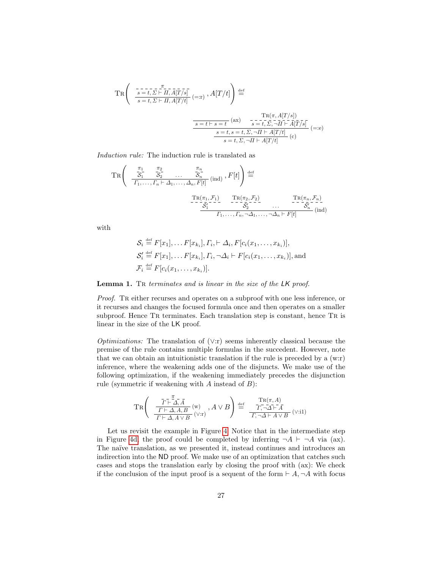$$
\operatorname{TR}\left(\begin{array}{c}\n\overbrace{-s=t,\Sigma\vdash\overline{H},\overline{A}[\overline{T}/s]}^{\overline{\mathcal{A}}_{-}}\\
\overbrace{s=t,\Sigma\vdash\overline{H},A[\overline{T}/t]}^{\overline{\mathcal{A}}_{-}}\n\end{array}\right)\right)\stackrel{\text{def}}{=}
$$
\n
$$
\frac{\overbrace{s=t\vdash s=t}^{\overline{\mathcal{A}}_{-}}\left(\text{ax}\right)\qquad \overbrace{-\frac{\text{TR}(\pi,A[\overline{T}/s])}{s=t,\Sigma,\neg\overline{H}\vdash\overline{A}[\overline{T}/s]}}^{\overline{\mathcal{A}}_{+}}\n\overbrace{s=t,\Sigma,\neg\overline{H}\vdash\overline{A}[\overline{T}/s]}^{\overline{\mathcal{A}}_{+}}\n\begin{array}{c}\n\overbrace{(\overline{T})_{-}}\\
\overbrace{s=t,\Sigma,\neg\overline{H}\vdash\overline{A}[\overline{T}/t]}\n\end{array}\n\begin{array}{c}\n\overbrace{(\overline{T})_{-}}\\
\overbrace{(\overline{T})_{-}}\n\end{array}
$$

Induction rule: The induction rule is translated as

$$
\operatorname{TR}\left(\begin{array}{ccc} \frac{\pi_1}{\mathcal{S}_1} & \frac{\pi_2}{\mathcal{S}_2} & \dots & \frac{\pi_n}{\mathcal{S}_n} \\ \frac{\pi_1}{\mathcal{S}_1, \dots, \Gamma_n \vdash \Delta_1, \dots, \Delta_n, F[t]} & \text{(ind)} \end{array}, F[t]\right) \stackrel{\text{def}}{=} \\ \frac{\operatorname{TR}(\pi_1, \mathcal{F}_1)}{\mathcal{S}_1'} \quad \begin{array}{c} \operatorname{TR}(\pi_2, \mathcal{F}_2) & \operatorname{TR}(\pi_n, \mathcal{F}_n) \\ \frac{\pi_1}{\mathcal{S}_2'} & \dots & \frac{\pi_n}{\mathcal{S}_n'} \\ \frac{\pi_1}{\mathcal{S}_1, \dots, \pi_n, \Delta_1, \dots, \Delta_n \vdash F[t]} & \text{(ind)} \end{array}
$$

with

$$
S_i \stackrel{\text{def}}{=} F[x_1], \dots F[x_{k_i}], \Gamma_i, \vdash \Delta_i, F[c_i(x_1, \dots, x_{k_i})],
$$
  
\n
$$
S'_i \stackrel{\text{def}}{=} F[x_1], \dots F[x_{k_i}], \Gamma_i, \neg \Delta_i \vdash F[c_i(x_1, \dots, x_{k_i})],
$$
 and  
\n
$$
\mathcal{F}_i \stackrel{\text{def}}{=} F[c_i(x_1, \dots, x_{k_i})].
$$

Lemma 1. TR terminates and is linear in the size of the LK proof.

Proof. TR either recurses and operates on a subproof with one less inference, or it recurses and changes the focused formula once and then operates on a smaller subproof. Hence TR terminates. Each translation step is constant, hence TR is linear in the size of the LK proof.

*Optimizations:* The translation of  $(\vee$ :r) seems inherently classical because the premise of the rule contains multiple formulas in the succedent. However, note that we can obtain an intuitionistic translation if the rule is preceded by a (w:r) inference, where the weakening adds one of the disjuncts. We make use of the following optimization, if the weakening immediately precedes the disjunction rule (symmetric if weakening with  $A$  instead of  $B$ ):

$$
\operatorname{TR}\!\left(\begin{array}{c}\bar T\bar{\vdash}\Delta,\bar A\\ \frac{\bar T\vdash\Delta,\bar A}{\bar \Gamma\vdash\Delta,A,B} \,({\bf w})\, ,\, A\vee B\end{array}\right)\stackrel{\text{def}}{=}\begin{array}{c}\mathrm{TR}(\pi,A)\\ \frac{\bar T\vdash\Delta,\bar A}{\bar \Gamma,\neg\Delta\vdash\bar A} \,(\vee\text{::i1})\end{array}
$$

Let us revisit the example in Figure [4:](#page-6-0) Notice that in the intermediate step in Figure [4d,](#page-6-4) the proof could be completed by inferring  $\neg A \vdash \neg A$  via (ax). The naïve translation, as we presented it, instead continues and introduces an indirection into the ND proof. We make use of an optimization that catches such cases and stops the translation early by closing the proof with (ax): We check if the conclusion of the input proof is a sequent of the form  $\vdash A, \neg A$  with focus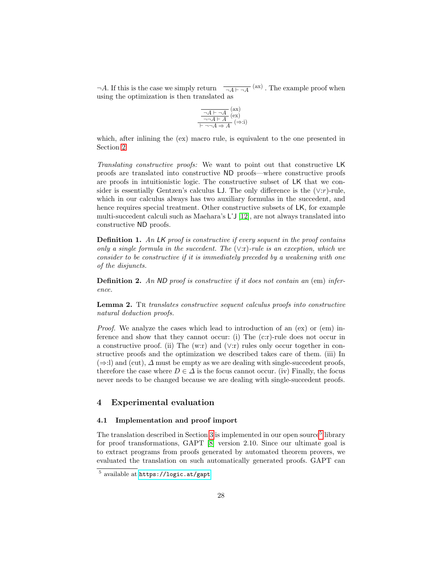$\neg A$ . If this is the case we simply return  $\overline{\neg A \vdash \neg A}$  (ax). The example proof when using the optimization is then translated as

$$
\frac{\overline{\neg A \vdash \neg A}}{\neg \neg A \vdash A} (ex) \n\overline{\neg \neg A \vdash A} (\Rightarrow :i)
$$

which, after inlining the (ex) macro rule, is equivalent to the one presented in Section [2.](#page-1-0)

Translating constructive proofs: We want to point out that constructive LK proofs are translated into constructive ND proofs—where constructive proofs are proofs in intuitionistic logic. The constructive subset of LK that we consider is essentially Gentzen's calculus LJ. The only difference is the  $(\vee : r)$ -rule, which in our calculus always has two auxiliary formulas in the succedent, and hence requires special treatment. Other constructive subsets of LK, for example multi-succedent calculi such as Maehara's L'J [\[12\]](#page-16-5), are not always translated into constructive ND proofs.

**Definition 1.** An LK proof is constructive if every sequent in the proof contains only a single formula in the succedent. The  $(\vee$ :r)-rule is an exception, which we consider to be constructive if it is immediately preceded by a weakening with one of the disjuncts.

**Definition 2.** An ND proof is constructive if it does not contain an  $(em)$  inference.

**Lemma 2.** Tr translates constructive sequent calculus proofs into constructive natural deduction proofs.

Proof. We analyze the cases which lead to introduction of an (ex) or (em) inference and show that they cannot occur: (i) The (c:r)-rule does not occur in a constructive proof. (ii) The (w:r) and (∨:r) rules only occur together in constructive proofs and the optimization we described takes care of them. (iii) In  $(\Rightarrow$ :l) and (cut),  $\Delta$  must be empty as we are dealing with single-succedent proofs, therefore the case where  $D \in \Delta$  is the focus cannot occur. (iv) Finally, the focus never needs to be changed because we are dealing with single-succedent proofs.

## <span id="page-11-0"></span>4 Experimental evaluation

#### <span id="page-11-2"></span>4.1 Implementation and proof import

The translation described in Section [3](#page-5-0) is implemented in our open source<sup>[5](#page-11-1)</sup> library for proof transformations, GAPT [\[8\]](#page-16-6) version 2.10. Since our ultimate goal is to extract programs from proofs generated by automated theorem provers, we evaluated the translation on such automatically generated proofs. GAPT can

<span id="page-11-1"></span><sup>5</sup> available at <https://logic.at/gapt>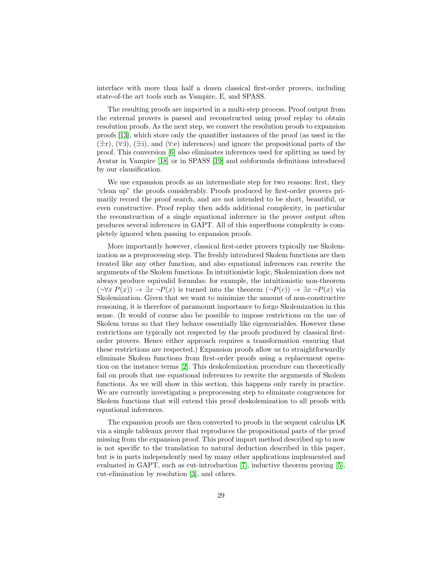interface with more than half a dozen classical first-order provers, including state-of-the art tools such as Vampire, E, and SPASS.

The resulting proofs are imported in a multi-step process. Proof output from the external provers is parsed and reconstructed using proof replay to obtain resolution proofs. As the next step, we convert the resolution proofs to expansion proofs [\[13\]](#page-16-7), which store only the quantifier instances of the proof (as used in the  $(\exists$ :r),  $(\forall$ :l),  $(\exists$ :i), and  $(\forall$ :e) inferences) and ignore the propositional parts of the proof. This conversion [\[6\]](#page-16-8) also eliminates inferences used for splitting as used by Avatar in Vampire [\[18\]](#page-16-9) or in SPASS [\[19\]](#page-16-10) and subformula definitions introduced by our clausification.

We use expansion proofs as an intermediate step for two reasons: first, they "clean up" the proofs considerably. Proofs produced by first-order provers primarily record the proof search, and are not intended to be short, beautiful, or even constructive. Proof replay then adds additional complexity, in particular the reconstruction of a single equational inference in the prover output often produces several inferences in GAPT. All of this superfluous complexity is completely ignored when passing to expansion proofs.

More importantly however, classical first-order provers typically use Skolemization as a preprocessing step. The freshly introduced Skolem functions are then treated like any other function, and also equational inferences can rewrite the arguments of the Skolem functions. In intuitionistic logic, Skolemization does not always produce equivalid formulas: for example, the intuitionistic non-theorem  $(\neg \forall x P(x)) \rightarrow \exists x \neg P(x)$  is turned into the theorem  $(\neg P(c)) \rightarrow \exists x \neg P(x)$  via Skolemization. Given that we want to minimize the amount of non-constructive reasoning, it is therefore of paramount importance to forgo Skolemization in this sense. (It would of course also be possible to impose restrictions on the use of Skolem terms so that they behave essentially like eigenvariables. However these restrictions are typically not respected by the proofs produced by classical firstorder provers. Hence either approach requires a transformation ensuring that these restrictions are respected.) Expansion proofs allow us to straightforwardly eliminate Skolem functions from first-order proofs using a replacement operation on the instance terms [\[2\]](#page-15-0). This deskolemization procedure can theoretically fail on proofs that use equational inferences to rewrite the arguments of Skolem functions. As we will show in this section, this happens only rarely in practice. We are currently investigating a preprocessing step to eliminate congruences for Skolem functions that will extend this proof deskolemization to all proofs with equational inferences.

The expansion proofs are then converted to proofs in the sequent calculus LK via a simple tableaux prover that reproduces the propositional parts of the proof missing from the expansion proof. This proof import method described up to now is not specific to the translation to natural deduction described in this paper, but is in parts independently used by many other applications implemented and evaluated in GAPT, such as cut-introduction [\[7\]](#page-16-11), inductive theorem proving [\[5\]](#page-16-12), cut-elimination by resolution [\[3\]](#page-15-1), and others.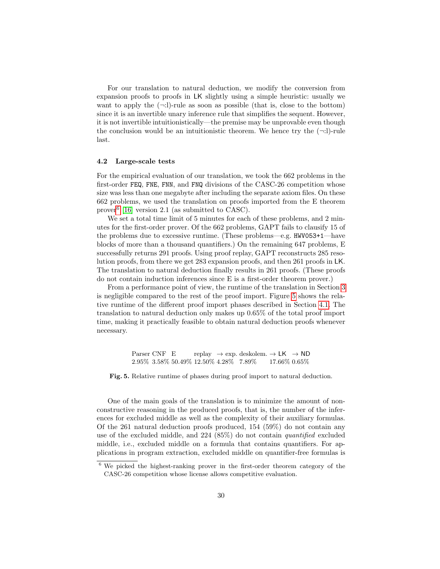For our translation to natural deduction, we modify the conversion from expansion proofs to proofs in LK slightly using a simple heuristic: usually we want to apply the  $(\neg \cdot \cdot)$ -rule as soon as possible (that is, close to the bottom) since it is an invertible unary inference rule that simplifies the sequent. However, it is not invertible intuitionistically—the premise may be unprovable even though the conclusion would be an intuitionistic theorem. We hence try the  $(\neg \cdot \cdot \cdot)$ -rule last.

#### 4.2 Large-scale tests

For the empirical evaluation of our translation, we took the 662 problems in the first-order FEQ, FNE, FNN, and FNQ divisions of the CASC-26 competition whose size was less than one megabyte after including the separate axiom files. On these 662 problems, we used the translation on proofs imported from the E theorem prover[6](#page-13-0) [\[16\]](#page-16-13) version 2.1 (as submitted to CASC).

We set a total time limit of 5 minutes for each of these problems, and 2 minutes for the first-order prover. Of the 662 problems, GAPT fails to clausify 15 of the problems due to excessive runtime. (These problems—e.g. HWV053+1—have blocks of more than a thousand quantifiers.) On the remaining 647 problems, E successfully returns 291 proofs. Using proof replay, GAPT reconstructs 285 resolution proofs, from there we get 283 expansion proofs, and then 261 proofs in LK. The translation to natural deduction finally results in 261 proofs. (These proofs do not contain induction inferences since E is a first-order theorem prover.)

From a performance point of view, the runtime of the translation in Section [3](#page-5-0) is negligible compared to the rest of the proof import. Figure [5](#page-13-1) shows the relative runtime of the different proof import phases described in Section [4.1.](#page-11-2) The translation to natural deduction only makes up 0.65% of the total proof import time, making it practically feasible to obtain natural deduction proofs whenever necessary.

> <span id="page-13-1"></span>Parser CNF E replay  $\rightarrow$  exp. deskolem.  $\rightarrow$  LK  $\rightarrow$  ND 2.95% 3.58% 50.49% 12.50% 4.28% 7.89% 17.66% 0.65%

Fig. 5. Relative runtime of phases during proof import to natural deduction.

One of the main goals of the translation is to minimize the amount of nonconstructive reasoning in the produced proofs, that is, the number of the inferences for excluded middle as well as the complexity of their auxiliary formulas. Of the 261 natural deduction proofs produced, 154 (59%) do not contain any use of the excluded middle, and 224 (85%) do not contain quantified excluded middle, i.e., excluded middle on a formula that contains quantifiers. For applications in program extraction, excluded middle on quantifier-free formulas is

<span id="page-13-0"></span><sup>6</sup> We picked the highest-ranking prover in the first-order theorem category of the CASC-26 competition whose license allows competitive evaluation.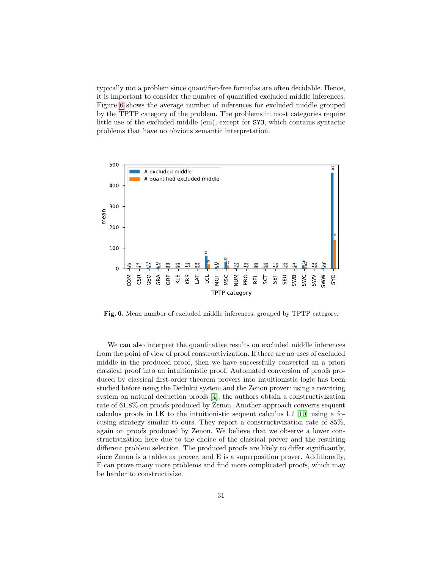typically not a problem since quantifier-free formulas are often decidable. Hence, it is important to consider the number of quantified excluded middle inferences. Figure [6](#page-14-0) shows the average number of inferences for excluded middle grouped by the TPTP category of the problem. The problems in most categories require little use of the excluded middle (em), except for SYO, which contains syntactic problems that have no obvious semantic interpretation.



<span id="page-14-0"></span>Fig. 6. Mean number of excluded middle inferences, grouped by TPTP category.

We can also interpret the quantitative results on excluded middle inferences from the point of view of proof constructivization. If there are no uses of excluded middle in the produced proof, then we have successfully converted an a priori classical proof into an intuitionistic proof. Automated conversion of proofs produced by classical first-order theorem provers into intuitionistic logic has been studied before using the Dedukti system and the Zenon prover: using a rewriting system on natural deduction proofs [\[4\]](#page-15-2), the authors obtain a constructivization rate of 61.8% on proofs produced by Zenon. Another approach converts sequent calculus proofs in LK to the intuitionistic sequent calculus LJ [\[10\]](#page-16-3) using a focusing strategy similar to ours. They report a constructivization rate of 85%, again on proofs produced by Zenon. We believe that we observe a lower constructivization here due to the choice of the classical prover and the resulting different problem selection. The produced proofs are likely to differ significantly, since Zenon is a tableaux prover, and E is a superposition prover. Additionally, E can prove many more problems and find more complicated proofs, which may be harder to constructivize.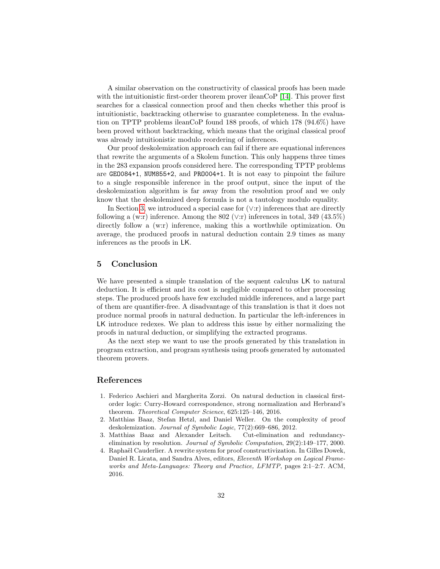A similar observation on the constructivity of classical proofs has been made with the intuitionistic first-order theorem prover ileanCoP [\[14\]](#page-16-14). This prover first searches for a classical connection proof and then checks whether this proof is intuitionistic, backtracking otherwise to guarantee completeness. In the evaluation on TPTP problems ileanCoP found 188 proofs, of which 178 (94.6%) have been proved without backtracking, which means that the original classical proof was already intuitionistic modulo reordering of inferences.

Our proof deskolemization approach can fail if there are equational inferences that rewrite the arguments of a Skolem function. This only happens three times in the 283 expansion proofs considered here. The corresponding TPTP problems are GEO084+1, NUM855+2, and PRO004+1. It is not easy to pinpoint the failure to a single responsible inference in the proof output, since the input of the deskolemization algorithm is far away from the resolution proof and we only know that the deskolemized deep formula is not a tautology modulo equality.

In Section [3,](#page-5-0) we introduced a special case for  $(\vee$ :r) inferences that are directly following a (w:r) inference. Among the 802 ( $\vee$ :r) inferences in total, 349 (43.5%) directly follow a (w:r) inference, making this a worthwhile optimization. On average, the produced proofs in natural deduction contain 2.9 times as many inferences as the proofs in LK.

## 5 Conclusion

We have presented a simple translation of the sequent calculus LK to natural deduction. It is efficient and its cost is negligible compared to other processing steps. The produced proofs have few excluded middle inferences, and a large part of them are quantifier-free. A disadvantage of this translation is that it does not produce normal proofs in natural deduction. In particular the left-inferences in LK introduce redexes. We plan to address this issue by either normalizing the proofs in natural deduction, or simplifying the extracted programs.

As the next step we want to use the proofs generated by this translation in program extraction, and program synthesis using proofs generated by automated theorem provers.

## References

- 1. Federico Aschieri and Margherita Zorzi. On natural deduction in classical firstorder logic: Curry-Howard correspondence, strong normalization and Herbrand's theorem. Theoretical Computer Science, 625:125–146, 2016.
- <span id="page-15-0"></span>2. Matthias Baaz, Stefan Hetzl, and Daniel Weller. On the complexity of proof deskolemization. Journal of Symbolic Logic, 77(2):669–686, 2012.
- <span id="page-15-1"></span>3. Matthias Baaz and Alexander Leitsch. Cut-elimination and redundancyelimination by resolution. Journal of Symbolic Computation, 29(2):149–177, 2000.
- <span id="page-15-2"></span>4. Raphaël Cauderlier. A rewrite system for proof constructivization. In Gilles Dowek, Daniel R. Licata, and Sandra Alves, editors, Eleventh Workshop on Logical Frameworks and Meta-Languages: Theory and Practice, LFMTP, pages 2:1–2:7. ACM, 2016.